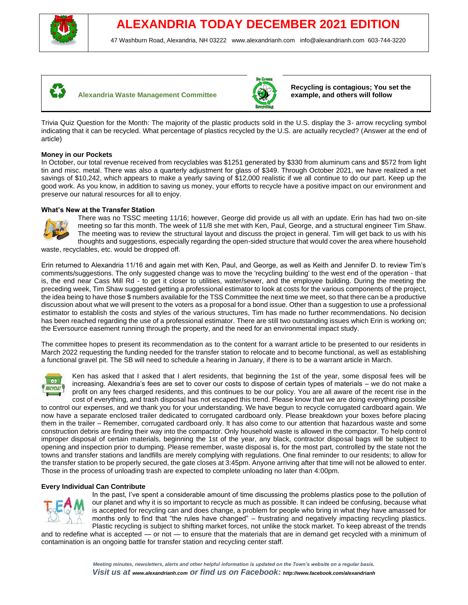



**Alexandria Waste Management Committee** 



**Recycling is contagious; You set the example, and others will follow**

Trivia Quiz Question for the Month: The majority of the plastic products sold in the U.S. display the 3- arrow recycling symbol indicating that it can be recycled. What percentage of plastics recycled by the U.S. are actually recycled? (Answer at the end of article)

### **Money in our Pockets**

In October, our total revenue received from recyclables was \$1251 generated by \$330 from aluminum cans and \$572 from light tin and misc. metal. There was also a quarterly adjustment for glass of \$349. Through October 2021, we have realized a net savings of \$10,242, which appears to make a yearly saving of \$12,000 realistic if we all continue to do our part. Keep up the good work. As you know, in addition to saving us money, your efforts to recycle have a positive impact on our environment and preserve our natural resources for all to enjoy.

## **What's New at the Transfer Station**



There was no TSSC meeting 11/16; however, George did provide us all with an update. Erin has had two on-site meeting so far this month. The week of 11/8 she met with Ken, Paul, George, and a structural engineer Tim Shaw. The meeting was to review the structural layout and discuss the project in general. Tim will get back to us with his thoughts and suggestions, especially regarding the open-sided structure that would cover the area where household

waste, recyclables, etc. would be dropped off.

Erin returned to Alexandria 11/16 and again met with Ken, Paul, and George, as well as Keith and Jennifer D. to review Tim's comments/suggestions. The only suggested change was to move the 'recycling building' to the west end of the operation - that is, the end near Cass Mill Rd - to get it closer to utilities, water/sewer, and the employee building. During the meeting the preceding week, Tim Shaw suggested getting a professional estimator to look at costs for the various components of the project, the idea being to have those \$ numbers available for the TSS Committee the next time we meet, so that there can be a productive discussion about what we will present to the voters as a proposal for a bond issue. Other than a suggestion to use a professional estimator to establish the costs and styles of the various structures, Tim has made no further recommendations. No decision has been reached regarding the use of a professional estimator. There are still two outstanding issues which Erin is working on: the Eversource easement running through the property, and the need for an environmental impact study.

The committee hopes to present its recommendation as to the content for a warrant article to be presented to our residents in March 2022 requesting the funding needed for the transfer station to relocate and to become functional, as well as establishing a functional gravel pit. The SB will need to schedule a hearing in January, if there is to be a warrant article in March.



Ken has asked that I asked that I alert residents, that beginning the 1st of the year, some disposal fees will be increasing. Alexandria's fees are set to cover our costs to dispose of certain types of materials – we do not make a profit on any fees charged residents, and this continues to be our policy. You are all aware of the recent rise in the cost of everything, and trash disposal has not escaped this trend. Please know that we are doing everything possible

to control our expenses, and we thank you for your understanding. We have begun to recycle corrugated cardboard again. We now have a separate enclosed trailer dedicated to corrugated cardboard only. Please breakdown your boxes before placing them in the trailer – Remember, corrugated cardboard only. It has also come to our attention that hazardous waste and some construction debris are finding their way into the compactor. Only household waste is allowed in the compactor. To help control improper disposal of certain materials, beginning the 1st of the year, any black, contractor disposal bags will be subject to opening and inspection prior to dumping. Please remember, waste disposal is, for the most part, controlled by the state not the towns and transfer stations and landfills are merely complying with regulations. One final reminder to our residents; to allow for the transfer station to be properly secured, the gate closes at 3:45pm. Anyone arriving after that time will not be allowed to enter. Those in the process of unloading trash are expected to complete unloading no later than 4:00pm.

#### **Every Individual Can Contribute**



In the past, I've spent a considerable amount of time discussing the problems plastics pose to the pollution of our planet and why it is so important to recycle as much as possible. It can indeed be confusing, because what is accepted for recycling can and does change, a problem for people who bring in what they have amassed for months only to find that "the rules have changed" – frustrating and negatively impacting recycling plastics. Plastic recycling is subject to shifting market forces, not unlike the stock market. To keep abreast of the trends

and to redefine what is accepted — or not — to ensure that the materials that are in demand get recycled with a minimum of contamination is an ongoing battle for transfer station and recycling center staff.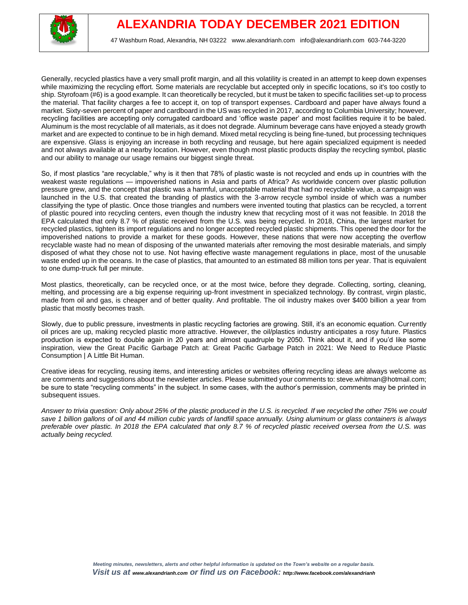

Generally, recycled plastics have a very small profit margin, and all this volatility is created in an attempt to keep down expenses while maximizing the recycling effort. Some materials are recyclable but accepted only in specific locations, so it's too costly to ship. Styrofoam (#6) is a good example. It can theoretically be recycled, but it must be taken to specific facilities set-up to process the material. That facility charges a fee to accept it, on top of transport expenses. Cardboard and paper have always found a market. Sixty-seven percent of paper and cardboard in the US was recycled in 2017, according to Columbia University; however, recycling facilities are accepting only corrugated cardboard and 'office waste paper' and most facilities require it to be baled. Aluminum is the most recyclable of all materials, as it does not degrade. Aluminum beverage cans have enjoyed a steady growth market and are expected to continue to be in high demand. Mixed metal recycling is being fine-tuned, but processing techniques are expensive. Glass is enjoying an increase in both recycling and reusage, but here again specialized equipment is needed and not always available at a nearby location. However, even though most plastic products display the recycling symbol, plastic and our ability to manage our usage remains our biggest single threat.

So, if most plastics "are recyclable," why is it then that 78% of plastic waste is not recycled and ends up in countries with the weakest waste regulations — impoverished nations in Asia and parts of Africa? As worldwide concern over plastic pollution pressure grew, and the concept that plastic was a harmful, unacceptable material that had no recyclable value, a campaign was launched in the U.S. that created the branding of plastics with the 3-arrow recycle symbol inside of which was a number classifying the type of plastic. Once those triangles and numbers were invented touting that plastics can be recycled, a torrent of plastic poured into recycling centers, even though the industry knew that recycling most of it was not feasible. In 2018 the EPA calculated that only 8.7 % of plastic received from the U.S. was being recycled. In 2018, China, the largest market for recycled plastics, tighten its import regulations and no longer accepted recycled plastic shipments. This opened the door for the impoverished nations to provide a market for these goods. However, these nations that were now accepting the overflow recyclable waste had no mean of disposing of the unwanted materials after removing the most desirable materials, and simply disposed of what they chose not to use. Not having effective waste management regulations in place, most of the unusable waste ended up in the oceans. In the case of plastics, that amounted to an estimated 88 million tons per year. That is equivalent to one dump-truck full per minute.

Most plastics, theoretically, can be recycled once, or at the most twice, before they degrade. Collecting, sorting, cleaning, melting, and processing are a big expense requiring up-front investment in specialized technology. By contrast, virgin plastic, made from oil and gas, is cheaper and of better quality. And profitable. The oil industry makes over \$400 billion a year from plastic that mostly becomes trash.

Slowly, due to public pressure, investments in plastic recycling factories are growing. Still, it's an economic equation. Currently oil prices are up, making recycled plastic more attractive. However, the oil/plastics industry anticipates a rosy future. Plastics production is expected to double again in 20 years and almost quadruple by 2050. Think about it, and if you'd like some inspiration, view the Great Pacific Garbage Patch at: Great Pacific Garbage Patch in 2021: We Need to Reduce Plastic Consumption | A Little Bit Human.

Creative ideas for recycling, reusing items, and interesting articles or websites offering recycling ideas are always welcome as are comments and suggestions about the newsletter articles. Please submitted your comments to: steve.whitman@hotmail.com; be sure to state "recycling comments" in the subject. In some cases, with the author's permission, comments may be printed in subsequent issues.

*Answer to trivia question: Only about 25% of the plastic produced in the U.S. is recycled. If we recycled the other 75% we could save 1 billion gallons of oil and 44 million cubic yards of landfill space annually. Using aluminum or glass containers is always preferable over plastic. In 2018 the EPA calculated that only 8.7 % of recycled plastic received oversea from the U.S. was actually being recycled.*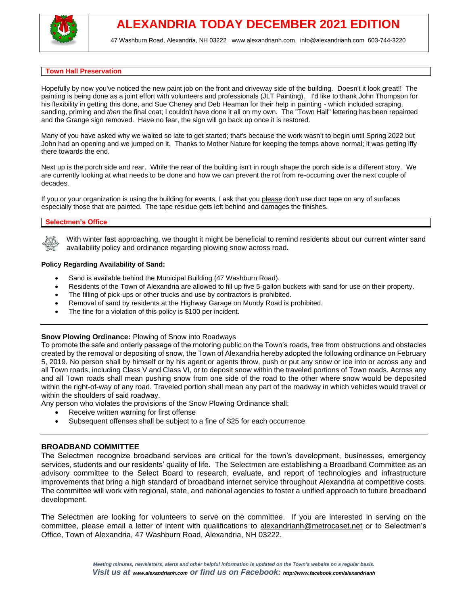

#### **Town Hall Preservation**

Hopefully by now you've noticed the new paint job on the front and driveway side of the building. Doesn't it look great!! The painting is being done as a joint effort with volunteers and professionals (JLT Painting). I'd like to thank John Thompson for his flexibility in getting this done, and Sue Cheney and Deb Heaman for their help in painting - which included scraping, sanding, priming and *then* the final coat; I couldn't have done it all on my own. The "Town Hall" lettering has been repainted and the Grange sign removed. Have no fear, the sign will go back up once it is restored.

Many of you have asked why we waited so late to get started; that's because the work wasn't to begin until Spring 2022 but John had an opening and we jumped on it. Thanks to Mother Nature for keeping the temps above normal; it was getting iffy there towards the end.

Next up is the porch side and rear. While the rear of the building isn't in rough shape the porch side is a different story. We are currently looking at what needs to be done and how we can prevent the rot from re-occurring over the next couple of decades.

If you or your organization is using the building for events, I ask that you please don't use duct tape on any of surfaces especially those that are painted. The tape residue gets left behind and damages the finishes.

## **Selectmen's Office**

With winter fast approaching, we thought it might be beneficial to remind residents about our current winter sand availability policy and ordinance regarding plowing snow across road.

### **Policy Regarding Availability of Sand:**

- Sand is available behind the Municipal Building (47 Washburn Road).
- Residents of the Town of Alexandria are allowed to fill up five 5-gallon buckets with sand for use on their property.
- The filling of pick-ups or other trucks and use by contractors is prohibited.
- Removal of sand by residents at the Highway Garage on Mundy Road is prohibited.
- The fine for a violation of this policy is \$100 per incident.

## **Snow Plowing Ordinance:** Plowing of Snow into Roadways

To promote the safe and orderly passage of the motoring public on the Town's roads, free from obstructions and obstacles created by the removal or depositing of snow, the Town of Alexandria hereby adopted the following ordinance on February 5, 2019. No person shall by himself or by his agent or agents throw, push or put any snow or ice into or across any and all Town roads, including Class V and Class VI, or to deposit snow within the traveled portions of Town roads. Across any and all Town roads shall mean pushing snow from one side of the road to the other where snow would be deposited within the right-of-way of any road. Traveled portion shall mean any part of the roadway in which vehicles would travel or within the shoulders of said roadway.

- Any person who violates the provisions of the Snow Plowing Ordinance shall:
	- Receive written warning for first offense
	- Subsequent offenses shall be subject to a fine of \$25 for each occurrence

## **BROADBAND COMMITTEE**

The Selectmen recognize broadband services are critical for the town's development, businesses, emergency services, students and our residents' quality of life. The Selectmen are establishing a Broadband Committee as an advisory committee to the Select Board to research, evaluate, and report of technologies and infrastructure improvements that bring a high standard of broadband internet service throughout Alexandria at competitive costs. The committee will work with regional, state, and national agencies to foster a unified approach to future broadband development.

The Selectmen are looking for volunteers to serve on the committee. If you are interested in serving on the committee, please email a letter of intent with qualifications to [alexandrianh@metrocaset.net](mailto:alexandrianh@metrocaset.net) or to Selectmen's Office, Town of Alexandria, 47 Washburn Road, Alexandria, NH 03222.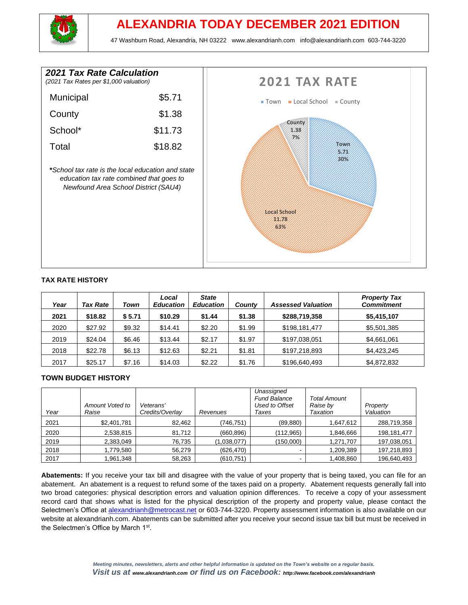**ALEXANDRIA TODAY DECEMBER 2021 EDITION**



47 Washburn Road, Alexandria, NH 03222 [www.alexandrianh.com](http://www.alexandrianh.com/) info@alexandrianh.com 603-744-3220

| <b>2021 Tax Rate Calculation</b><br>(2021 Tax Rates per \$1,000 valuation)                                                            |         | <b>2021 TAX RATE</b>                     |
|---------------------------------------------------------------------------------------------------------------------------------------|---------|------------------------------------------|
| Municipal                                                                                                                             | \$5.71  | ■ Town ■ Local School<br><b>E</b> County |
| County                                                                                                                                | \$1.38  |                                          |
| School*                                                                                                                               | \$11.73 | <b>County</b><br>1.38<br>7%              |
| Total                                                                                                                                 | \$18.82 | Town<br>5.71                             |
| *School tax rate is the local education and state<br>education tax rate combined that goes to<br>Newfound Area School District (SAU4) |         | 30%<br>Local School<br>11/18<br>63%      |

# **TAX RATE HISTORY**

| Year | Tax Rate | Town   | Local<br><b>Education</b> | <b>State</b><br><b>Education</b> | County | <b>Assessed Valuation</b> | <b>Property Tax</b><br><b>Commitment</b> |
|------|----------|--------|---------------------------|----------------------------------|--------|---------------------------|------------------------------------------|
| 2021 | \$18.82  | \$5.71 | \$10.29                   | \$1.44                           | \$1,38 | \$288,719,358             | \$5,415,107                              |
| 2020 | \$27.92  | \$9.32 | \$14.41                   | \$2.20                           | \$1.99 | \$198,181,477             | \$5,501,385                              |
| 2019 | \$24.04  | \$6.46 | \$13.44                   | \$2.17                           | \$1.97 | \$197,038,051             | \$4,661,061                              |
| 2018 | \$22.78  | \$6.13 | \$12.63                   | \$2.21                           | \$1.81 | \$197,218,893             | \$4,423,245                              |
| 2017 | \$25.17  | \$7.16 | \$14.03                   | \$2.22                           | \$1.76 | \$196,640,493             | \$4,872,832                              |

# **TOWN BUDGET HISTORY**

| Year | Amount Voted to<br>Raise | Veterans'<br>Credits/Overlay | Revenues    | Unassigned<br><b>Fund Balance</b><br>Used to Offset<br>Taxes | Total Amount<br>Raise by<br>Taxation | Property<br>Valuation |
|------|--------------------------|------------------------------|-------------|--------------------------------------------------------------|--------------------------------------|-----------------------|
| 2021 | \$2,401,781              | 82,462                       | (746,751)   | (89, 880)                                                    | 1,647,612                            | 288,719,358           |
| 2020 | 2,538,815                | 81,712                       | (660, 896)  | (112,965)                                                    | 1,846,666                            | 198, 181, 477         |
| 2019 | 2,383,049                | 76,735                       | (1,038,077) | (150,000)                                                    | 1,271,707                            | 197,038,051           |
| 2018 | 1,779,580                | 56,279                       | (626, 470)  |                                                              | 1,209,389                            | 197,218,893           |
| 2017 | 1.961.348                | 58,263                       | (610, 751)  | -                                                            | 1,408,860                            | 196,640,493           |

**Abatements:** If you receive your tax bill and disagree with the value of your property that is being taxed, you can file for an abatement. An abatement is a request to refund some of the taxes paid on a property. Abatement requests generally fall into two broad categories: physical description errors and valuation opinion differences. To receive a copy of your assessment record card that shows what is listed for the physical description of the property and property value, please contact the Selectmen's Office at [alexandrianh@metrocast.net](mailto:alexandrianh@metrocast.net) or 603-744-3220. Property assessment information is also available on our website at alexandrianh.com. Abatements can be submitted after you receive your second issue tax bill but must be received in the Selectmen's Office by March 1<sup>st</sup>.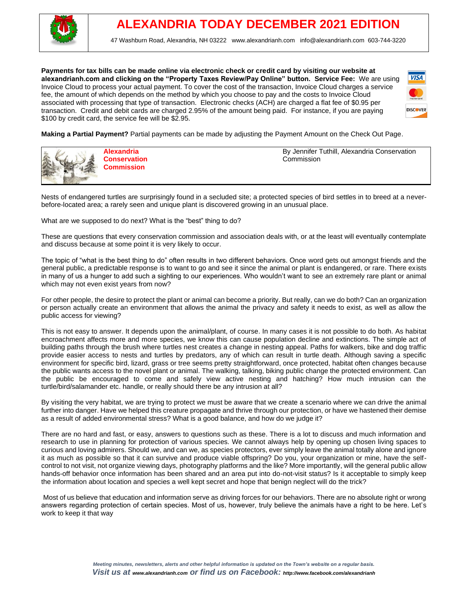

**Payments for tax bills can be made online via electronic check or credit card by visiting our website at alexandrianh.com and clicking on the "Property Taxes Review/Pay Online" button. Service Fee:** We are using Invoice Cloud to process your actual payment. To cover the cost of the transaction, Invoice Cloud charges a service fee, the amount of which depends on the method by which you choose to pay and the costs to Invoice Cloud associated with processing that type of transaction. Electronic checks (ACH) are charged a flat fee of \$0.95 per transaction. Credit and debit cards are charged 2.95% of the amount being paid. For instance, if you are paying \$100 by credit card, the service fee will be \$2.95.



**Making a Partial Payment?** Partial payments can be made by adjusting the Payment Amount on the Check Out Page.



**Alexandria Conservation Commission**

By Jennifer Tuthill, Alexandria Conservation Commission

Nests of endangered turtles are surprisingly found in a secluded site; a protected species of bird settles in to breed at a neverbefore-located area; a rarely seen and unique plant is discovered growing in an unusual place.

What are we supposed to do next? What is the "best" thing to do?

These are questions that every conservation commission and association deals with, or at the least will eventually contemplate and discuss because at some point it is very likely to occur.

The topic of "what is the best thing to do" often results in two different behaviors. Once word gets out amongst friends and the general public, a predictable response is to want to go and see it since the animal or plant is endangered, or rare. There exists in many of us a hunger to add such a sighting to our experiences. Who wouldn't want to see an extremely rare plant or animal which may not even exist years from now?

For other people, the desire to protect the plant or animal can become a priority. But really, can we do both? Can an organization or person actually create an environment that allows the animal the privacy and safety it needs to exist, as well as allow the public access for viewing?

This is not easy to answer. It depends upon the animal/plant, of course. In many cases it is not possible to do both. As habitat encroachment affects more and more species, we know this can cause population decline and extinctions. The simple act of building paths through the brush where turtles nest creates a change in nesting appeal. Paths for walkers, bike and dog traffic provide easier access to nests and turtles by predators, any of which can result in turtle death. Although saving a specific environment for specific bird, lizard, grass or tree seems pretty straightforward, once protected, habitat often changes because the public wants access to the novel plant or animal. The walking, talking, biking public change the protected environment. Can the public be encouraged to come and safely view active nesting and hatching? How much intrusion can the turtle/bird/salamander etc. handle, or really should there be any intrusion at all?

By visiting the very habitat, we are trying to protect we must be aware that we create a scenario where we can drive the animal further into danger. Have we helped this creature propagate and thrive through our protection, or have we hastened their demise as a result of added environmental stress? What is a good balance, and how do we judge it?

There are no hard and fast, or easy, answers to questions such as these. There is a lot to discuss and much information and research to use in planning for protection of various species. We cannot always help by opening up chosen living spaces to curious and loving admirers. Should we, and can we, as species protectors, ever simply leave the animal totally alone and ignore it as much as possible so that it can survive and produce viable offspring? Do you, your organization or mine, have the selfcontrol to not visit, not organize viewing days, photography platforms and the like? More importantly, will the general public allow hands-off behavior once information has been shared and an area put into do-not-visit status? Is it acceptable to simply keep the information about location and species a well kept secret and hope that benign neglect will do the trick?

Most of us believe that education and information serve as driving forces for our behaviors. There are no absolute right or wrong answers regarding protection of certain species. Most of us, however, truly believe the animals have a right to be here. Let's work to keep it that way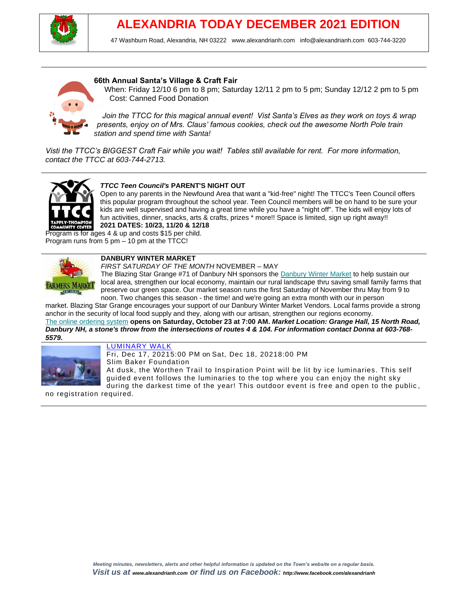

# **ALEXANDRIA TODAY DECEMBER 2021 EDITION**

47 Washburn Road, Alexandria, NH 03222 [www.alexandrianh.com](http://www.alexandrianh.com/) info@alexandrianh.com 603-744-3220

## **66th Annual Santa's Village & Craft Fair**



When: Friday 12/10 6 pm to 8 pm; Saturday 12/11 2 pm to 5 pm; Sunday 12/12 2 pm to 5 pm Cost: Canned Food Donation

*Join the TTCC for this magical annual event! Vist Santa's Elves as they work on toys & wrap presents, enjoy on of Mrs. Claus' famous cookies, check out the awesome North Pole train station and spend time with Santa!*

*Visti the TTCC's BIGGEST Craft Fair while you wait! Tables still available for rent. For more information, contact the TTCC at 603-744-2713.*



## *TTCC Teen Council's* **[PARENT'S NIGHT OUT](https://ttccrec.org/special_programs/parents-night-out/)**

Open to any parents in the Newfound Area that want a "kid-free" night! The TTCC's Teen Council offers this popular program throughout the school year. Teen Council members will be on hand to be sure your kids are well supervised and having a great time while you have a "night off". The kids will enjoy lots of fun activities, dinner, snacks, arts & crafts, prizes \* more!! Space is limited, sign up right away!! **2021 DATES: 10/23, 11/20 & 12/18 EXAMUNITY CENTER** 2021 DATES: 10/23, 11/20 & 12/2<br>Program is for ages 4 & up and costs \$15 per child.

Program runs from 5 pm – 10 pm at the TTCC!



## **DANBURY WINTER MARKET**

*FIRST SATURDAY OF THE MONTH* NOVEMBER – MAY

The Blazing Star Grange #71 of Danbury NH sponsors the [Danbury Winter Market](https://harvesttomarket.com/farmers-market/Danbury-Winter-Market) to help sustain our local area, strengthen our local economy, maintain our rural landscape thru saving small family farms that preserve our green space. Our market season runs the first Saturday of November thru May from 9 to noon. Two changes this season - the time! and we're going an extra month with our in person

market. Blazing Star Grange encourages your support of our Danbury Winter Market Vendors. Local farms provide a strong anchor in the security of local food supply and they, along with our artisan, strengthen our regions economy. [The online ordering system](https://harvesttomarket.com/farmers-market/Danbury-Winter-Market) **opens on Saturday, October 23 at 7:00 AM.** *Market Location: Grange Hall, 15 North Road, Danbury NH, a stone's throw from the intersections of routes 4 & 104. For information contact Donna at 603-768- 5579.*



[LUMINARY WALK](https://slimbaker.org/events-2/luminary-walk)

Fri, Dec 17, 20215:00 PM on Sat, Dec 18, 20218:00 PM Slim Baker Foundation At dusk, the Worthen Trail to Inspiration Point will be lit by ice luminaries. This self guided event follows the luminaries to the top where you can enjoy the night sky during the darkest time of the year! This outdoor event is free and open to the public ,

no registration required.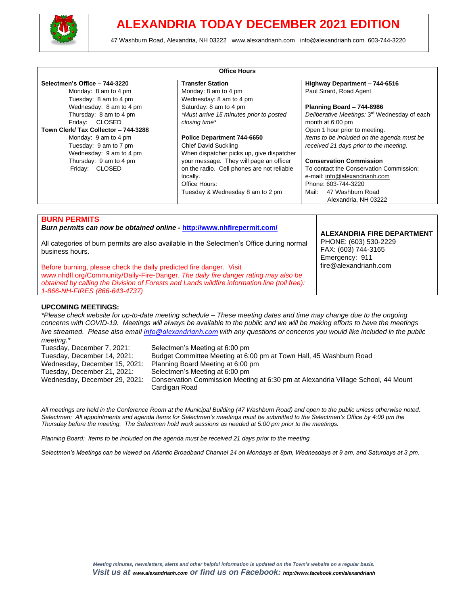

|                                                                                                                                                                                                                                                                                                                       | <b>Office Hours</b>                                                                                                                                                                                                                                                                                                                                                                              |                                                                                                                                                                                                                                                                                                                                                                                                                                     |
|-----------------------------------------------------------------------------------------------------------------------------------------------------------------------------------------------------------------------------------------------------------------------------------------------------------------------|--------------------------------------------------------------------------------------------------------------------------------------------------------------------------------------------------------------------------------------------------------------------------------------------------------------------------------------------------------------------------------------------------|-------------------------------------------------------------------------------------------------------------------------------------------------------------------------------------------------------------------------------------------------------------------------------------------------------------------------------------------------------------------------------------------------------------------------------------|
| Selectmen's Office - 744-3220<br>Monday: 8 am to 4 pm<br>Tuesday: 8 am to 4 pm<br>Wednesday: 8 am to 4 pm<br>Thursday: 8 am to 4 pm<br>Friday: CLOSED<br>Town Clerk/ Tax Collector - 744-3288<br>Monday: 9 am to 4 pm<br>Tuesday: 9 am to 7 pm<br>Wednesday: 9 am to 4 pm<br>Thursday: 9 am to 4 pm<br>Friday: CLOSED | <b>Transfer Station</b><br>Monday: 8 am to 4 pm<br>Wednesday: 8 am to 4 pm<br>Saturday: 8 am to 4 pm<br>*Must arrive 15 minutes prior to posted<br>closing time*<br>Police Department 744-6650<br><b>Chief David Suckling</b><br>When dispatcher picks up, give dispatcher<br>your message. They will page an officer<br>on the radio. Cell phones are not reliable<br>locally.<br>Office Hours: | Highway Department - 744-6516<br>Paul Sirard, Road Agent<br>Planning Board - 744-8986<br>Deliberative Meetings: 3 <sup>rd</sup> Wednesday of each<br>month at 6:00 pm<br>Open 1 hour prior to meeting.<br>Items to be included on the agenda must be<br>received 21 days prior to the meeting.<br><b>Conservation Commission</b><br>To contact the Conservation Commission:<br>e-mail: info@alexandrianh.com<br>Phone: 603-744-3220 |
|                                                                                                                                                                                                                                                                                                                       | Tuesday & Wednesday 8 am to 2 pm                                                                                                                                                                                                                                                                                                                                                                 | 47 Washburn Road<br>Mail:<br>Alexandria, NH 03222                                                                                                                                                                                                                                                                                                                                                                                   |
| <b>BURN PERMITS</b><br>Burn permits can now be obtained online - http://www.nhfirepermit.com/                                                                                                                                                                                                                         |                                                                                                                                                                                                                                                                                                                                                                                                  |                                                                                                                                                                                                                                                                                                                                                                                                                                     |

All categories of burn permits are also available in the Selectmen's Office during normal business hours.

Before burning, please check the daily predicted fire danger. Visit [www.nhdfl.org/Community/Daily-Fire-Danger.](http://www.nhdfl.org/Community/Daily-Fire-Danger) *The daily fire danger rating may also be obtained by calling the Division of Forests and Lands wildfire information line (toll free): 1-866-NH-FIRES (866-643-4737)*

**ALEXANDRIA FIRE DEPARTMENT**

PHONE: (603) 530-2229 FAX: (603) 744-3165 Emergency: 911 fire@alexandrianh.com

## **UPCOMING MEETINGS:**

*\*Please check website for up-to-date meeting schedule – These meeting dates and time may change due to the ongoing concerns with COVID-19. Meetings will always be available to the public and we will be making efforts to have the meetings live streamed. Please also email [info@alexandrianh.com](mailto:info@alexandrianh.com) with any questions or concerns you would like included in the public meeting.\**

| Tuesday, December 7, 2021:    | Selectmen's Meeting at 6:00 pm                                                                     |
|-------------------------------|----------------------------------------------------------------------------------------------------|
| Tuesday, December 14, 2021:   | Budget Committee Meeting at 6:00 pm at Town Hall, 45 Washburn Road                                 |
| Wednesday, December 15, 2021: | Planning Board Meeting at 6:00 pm                                                                  |
| Tuesday, December 21, 2021:   | Selectmen's Meeting at 6:00 pm                                                                     |
| Wednesday, December 29, 2021: | Conservation Commission Meeting at 6:30 pm at Alexandria Village School, 44 Mount<br>Cardigan Road |

*All meetings are held in the Conference Room at the Municipal Building (47 Washburn Road) and open to the public unless otherwise noted.*  Selectmen: All appointments and agenda items for Selectmen's meetings must be submitted to the Selectmen's Office by 4:00 pm the *Thursday before the meeting. The Selectmen hold work sessions as needed at 5:00 pm prior to the meetings.*

*Planning Board: Items to be included on the agenda must be received 21 days prior to the meeting.*

*Selectmen's Meetings can be viewed on Atlantic Broadband Channel 24 on Mondays at 8pm, Wednesdays at 9 am, and Saturdays at 3 pm.*